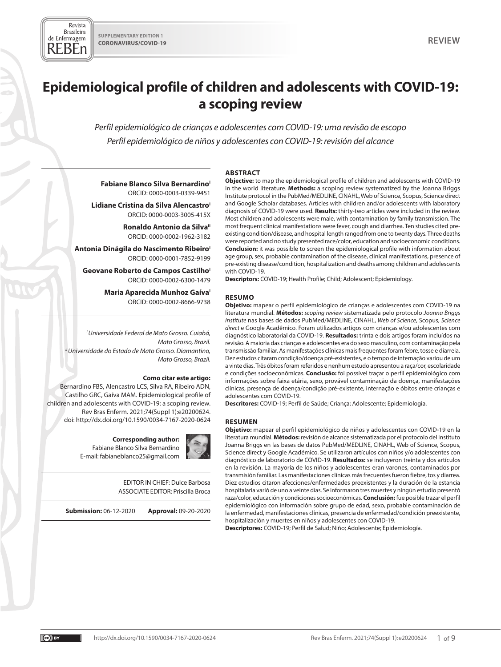Revista **Brasileira** de Enfermagem REBEn

# **Epidemiological profile of children and adolescents with COVID-19: a scoping review**

*Perfil epidemiológico de crianças e adolescentes com COVID-19: uma revisão de escopo Perfil epidemiológico de niños y adolescentes con COVID-19: revisión del alcance*

# **ABSTRACT**

**Fabiane Blanco Silva Bernardino<sup>1</sup>** ORCID: 0000-0003-0339-9451

Lidiane Cristina da Silva Alencastro<sup>1</sup> ORCID: 0000-0003-3005-415X

> **Ronaldo Antonio da Silva**" ORCID: 0000-0002-1962-3182

**Antonia Dinágila do Nascimento Ribeiro** ORCID: 0000-0001-7852-9199

Geovane Roberto de Campos Castilho<sup>1</sup> ORCID: 0000-0002-6300-1479

> **Maria Aparecida Munhoz Gaíva**<sup>1</sup> ORCID: 0000-0002-8666-9738

*I Universidade Federal de Mato Grosso. Cuiabá, Mato Grosso, Brazil. II Universidade do Estado de Mato Grosso. Diamantino, Mato Grosso, Brazil.*

#### **Como citar este artigo:**

Bernardino FBS, Alencastro LCS, Silva RA, Ribeiro ADN, Castilho GRC, Gaíva MAM. Epidemiological profile of children and adolescents with COVID-19: a scoping review. Rev Bras Enferm. 2021;74(Suppl 1):e20200624. doi: http://dx.doi.org/10.1590/0034-7167-2020-0624

#### **Corresponding author:**

Fabiane Blanco Silva Bernardino E-mail: fabianeblanco25@gmail.com



EDITOR IN CHIEF: Dulce Barbosa ASSOCIATE EDITOR: Priscilla Broca

**Submission:** 06-12-2020 **Approval:** 09-20-2020

**Objective:** to map the epidemiological profile of children and adolescents with COVID-19 in the world literature. **Methods:** a scoping review systematized by the Joanna Briggs Institute protocol in the PubMed/MEDLINE, CINAHL, Web of Science, Scopus, Science direct and Google Scholar databases. Articles with children and/or adolescents with laboratory diagnosis of COVID-19 were used. **Results:** thirty-two articles were included in the review. Most children and adolescents were male, with contamination by family transmission. The most frequent clinical manifestations were fever, cough and diarrhea. Ten studies cited preexisting condition/disease, and hospital length ranged from one to twenty days. Three deaths were reported and no study presented race/color, education and socioeconomic conditions. **Conclusion:** it was possible to screen the epidemiological profile with information about age group, sex, probable contamination of the disease, clinical manifestations, presence of pre-existing disease/condition, hospitalization and deaths among children and adolescents with COVID-19.

**Descriptors:** COVID-19; Health Profile; Child; Adolescent; Epidemiology.

#### **RESUMO**

**Objetivo:** mapear o perfil epidemiológico de crianças e adolescentes com COVID-19 na literatura mundial. **Métodos:** *scoping review* sistematizada pelo protocolo *Joanna Briggs Institute* nas bases de dados PubMed/MEDLINE, CINAHL, *Web of Science*, Scopus, *Science direct* e Google Acadêmico. Foram utilizados artigos com crianças e/ou adolescentes com diagnóstico laboratorial da COVID-19. **Resultados:** trinta e dois artigos foram incluídos na revisão. A maioria das crianças e adolescentes era do sexo masculino, com contaminação pela transmissão familiar. As manifestações clínicas mais frequentes foram febre, tosse e diarreia. Dez estudos citaram condição/doença pré-existentes, e o tempo de internação variou de um a vinte dias. Três óbitos foram referidos e nenhum estudo apresentou a raça/cor, escolaridade e condições socioeconômicas. **Conclusão:** foi possível traçar o perfil epidemiológico com informações sobre faixa etária, sexo, provável contaminação da doença, manifestações clínicas, presença de doença/condição pré-existente, internação e óbitos entre crianças e adolescentes com COVID-19.

**Descritores:** COVID-19; Perfil de Saúde; Criança; Adolescente; Epidemiologia.

#### **RESUMEN**

**Objetivo:** mapear el perfil epidemiológico de niños y adolescentes con COVID-19 en la literatura mundial. **Métodos:** revisión de alcance sistematizada por el protocolo del Instituto Joanna Briggs en las bases de datos PubMed/MEDLINE, CINAHL, Web of Science, Scopus, Science direct y Google Académico. Se utilizaron artículos con niños y/o adolescentes con diagnóstico de laboratorio de COVID-19. **Resultados:** se incluyeron treinta y dos artículos en la revisión. La mayoría de los niños y adolescentes eran varones, contaminados por transmisión familiar. Las manifestaciones clínicas más frecuentes fueron fiebre, tos y diarrea. Diez estudios citaron afecciones/enfermedades preexistentes y la duración de la estancia hospitalaria varió de uno a veinte días. Se informaron tres muertes y ningún estudio presentó raza/color, educación y condiciones socioeconómicas. **Conclusión:** fue posible trazar el perfil epidemiológico con información sobre grupo de edad, sexo, probable contaminación de la enfermedad, manifestaciones clínicas, presencia de enfermedad/condición preexistente, hospitalización y muertes en niños y adolescentes con COVID-19.

**Descriptores:** COVID-19; Perfil de Salud; Niño; Adolescente; Epidemiología.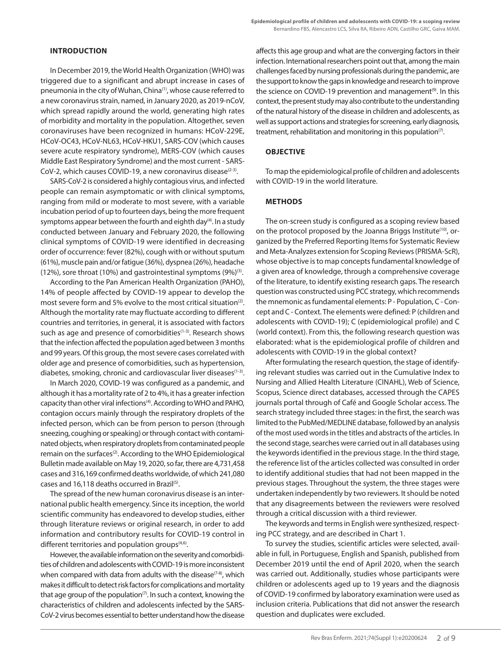In December 2019, the World Health Organization (WHO) was triggered due to a significant and abrupt increase in cases of pneumonia in the city of Wuhan, China<sup>(1)</sup>, whose cause referred to a new coronavirus strain, named, in January 2020, as 2019-nCoV, which spread rapidly around the world, generating high rates of morbidity and mortality in the population. Altogether, seven coronaviruses have been recognized in humans: HCoV-229E, HCoV-OC43, HCoV-NL63, HCoV-HKU1, SARS-COV (which causes severe acute respiratory syndrome), MERS-COV (which causes Middle East Respiratory Syndrome) and the most current - SARS-CoV-2, which causes COVID-19, a new coronavirus disease<sup>(2-3)</sup>.

SARS-CoV-2 is considered a highly contagious virus, and infected people can remain asymptomatic or with clinical symptoms, ranging from mild or moderate to most severe, with a variable incubation period of up to fourteen days, being the more frequent symptoms appear between the fourth and eighth day<sup>(4)</sup>. In a study conducted between January and February 2020, the following clinical symptoms of COVID-19 were identified in decreasing order of occurrence: fever (82%), cough with or without sputum (61%), muscle pain and/or fatigue (36%), dyspnea (26%), headache (12%), sore throat (10%) and gastrointestinal symptoms  $(9\%)^{(3)}$ .

According to the Pan American Health Organization (PAHO), 14% of people affected by COVID-19 appear to develop the most severe form and 5% evolve to the most critical situation $(2)$ . Although the mortality rate may fluctuate according to different countries and territories, in general, it is associated with factors such as age and presence of comorbidities<sup>(1-3)</sup>. Research shows that the infection affected the population aged between 3 months and 99 years. Of this group, the most severe cases correlated with older age and presence of comorbidities, such as hypertension, diabetes, smoking, chronic and cardiovascular liver diseases<sup>(1-3)</sup>.

In March 2020, COVID-19 was configured as a pandemic, and although it has a mortality rate of 2 to 4%, it has a greater infection capacity than other viral infections<sup>(4)</sup>. According to WHO and PAHO, contagion occurs mainly through the respiratory droplets of the infected person, which can be from person to person (through sneezing, coughing or speaking) or through contact with contaminated objects, when respiratory droplets from contaminated people remain on the surfaces<sup>(2)</sup>. According to the WHO Epidemiological Bulletin made available on May 19, 2020, so far, there are 4,731,458 cases and 316,169 confirmed deaths worldwide, of which 241,080 cases and 16,118 deaths occurred in Brazil<sup>(5)</sup>.

The spread of the new human coronavirus disease is an international public health emergency. Since its inception, the world scientific community has endeavored to develop studies, either through literature reviews or original research, in order to add information and contributory results for COVID-19 control in different territories and population groups<sup>(4,6)</sup>.

However, the available information on the severity and comorbidities of children and adolescents with COVID-19 is more inconsistent when compared with data from adults with the disease<sup> $(7-8)$ </sup>, which makes it difficult to detect risk factors for complications and mortality that age group of the population $(7)$ . In such a context, knowing the characteristics of children and adolescents infected by the SARS-CoV-2 virus becomes essential to better understand how the disease affects this age group and what are the converging factors in their infection. International researchers point out that, among the main challenges faced by nursing professionals during the pandemic, are the support to know the gaps in knowledge and research to improve the science on COVID-19 prevention and management<sup>(9)</sup>. In this context, the present study may also contribute to the understanding of the natural history of the disease in children and adolescents, as well as support actions and strategies for screening, early diagnosis, treatment, rehabilitation and monitoring in this population<sup>(7)</sup>.

# **OBJECTIVE**

To map the epidemiological profile of children and adolescents with COVID-19 in the world literature.

### **METHODS**

The on-screen study is configured as a scoping review based on the protocol proposed by the Joanna Briggs Institute<sup>(10)</sup>, organized by the Preferred Reporting Items for Systematic Review and Meta-Analyzes extension for Scoping Reviews (PRISMA-ScR), whose objective is to map concepts fundamental knowledge of a given area of knowledge, through a comprehensive coverage of the literature, to identify existing research gaps. The research question was constructed using PCC strategy, which recommends the mnemonic as fundamental elements: P - Population, C - Concept and C - Context. The elements were defined: P (children and adolescents with COVID-19); C (epidemiological profile) and C (world context). From this, the following research question was elaborated: what is the epidemiological profile of children and adolescents with COVID-19 in the global context?

After formulating the research question, the stage of identifying relevant studies was carried out in the Cumulative Index to Nursing and Allied Health Literature (CINAHL), Web of Science, Scopus, Science direct databases, accessed through the CAPES journals portal through of Café and Google Scholar access. The search strategy included three stages: in the first, the search was limited to the PubMed/MEDLINE database, followed by an analysis of the most used words in the titles and abstracts of the articles. In the second stage, searches were carried out in all databases using the keywords identified in the previous stage. In the third stage, the reference list of the articles collected was consulted in order to identify additional studies that had not been mapped in the previous stages. Throughout the system, the three stages were undertaken independently by two reviewers. It should be noted that any disagreements between the reviewers were resolved through a critical discussion with a third reviewer.

The keywords and terms in English were synthesized, respecting PCC strategy, and are described in Chart 1.

To survey the studies, scientific articles were selected, available in full, in Portuguese, English and Spanish, published from December 2019 until the end of April 2020, when the search was carried out. Additionally, studies whose participants were children or adolescents aged up to 19 years and the diagnosis of COVID-19 confirmed by laboratory examination were used as inclusion criteria. Publications that did not answer the research question and duplicates were excluded.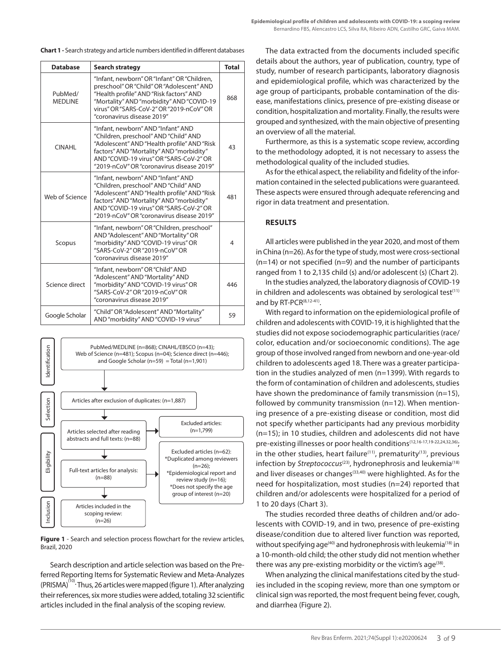**Chart 1 -** Search strategy and article numbers identified in different databases

| <b>Database</b>                                                                                                                                                                               | <b>Search strategy</b>                                                                                                                                                                                                                                         | <b>Total</b> |
|-----------------------------------------------------------------------------------------------------------------------------------------------------------------------------------------------|----------------------------------------------------------------------------------------------------------------------------------------------------------------------------------------------------------------------------------------------------------------|--------------|
| PubMed/<br><b>MEDLINE</b>                                                                                                                                                                     | "Infant, newborn" OR "Infant" OR "Children,<br>preschool" OR "Child" OR "Adolescent" AND<br>"Health profile" AND "Risk factors" AND<br>"Mortality" AND "morbidity" AND "COVID-19<br>virus" OR "SARS-CoV-2" OR "2019-nCoV" OR<br>"coronavirus disease 2019"     | 868          |
| <b>CINAHL</b>                                                                                                                                                                                 | "Infant, newborn" AND "Infant" AND<br>"Children, preschool" AND "Child" AND<br>"Adolescent" AND "Health profile" AND "Risk<br>factors" AND "Mortality" AND "morbidity"<br>AND "COVID-19 virus" OR "SARS-CoV-2" OR<br>"2019-nCoV" OR "coronavirus disease 2019" | 43           |
| Web of Science                                                                                                                                                                                | "Infant, newborn" AND "Infant" AND<br>"Children, preschool" AND "Child" AND<br>"Adolescent" AND "Health profile" AND "Risk<br>factors" AND "Mortality" AND "morbidity"<br>AND "COVID-19 virus" OR "SARS-CoV-2" OR<br>"2019-nCoV" OR "coronavirus disease 2019" | 481          |
| Scopus                                                                                                                                                                                        | "Infant, newborn" OR "Children, preschool"<br>AND "Adolescent" AND "Mortality" OR<br>"morbidity" AND "COVID-19 virus" OR<br>"SARS-CoV-2" OR "2019-nCoV" OR<br>"coronavirus disease 2019"                                                                       | 4            |
| "Infant, newborn" OR "Child" AND<br>"Adolescent" AND "Mortality" AND<br>"morbidity" AND "COVID-19 virus" OR<br>Science direct<br>"SARS-CoV-2" OR "2019-nCoV" OR<br>"coronavirus disease 2019" |                                                                                                                                                                                                                                                                | 446          |
| Google Scholar                                                                                                                                                                                | "Child" OR "Adolescent" AND "Mortality"<br>AND "morbidity" AND "COVID-19 virus"                                                                                                                                                                                | 59           |



**Figure 1** - Search and selection process flowchart for the review articles, Brazil, 2020

Search description and article selection was based on the Preferred Reporting Items for Systematic Review and Meta-Analyzes (PRISMA)<sup>(10)</sup>· Thus, 26 articles were mapped (figure 1). After analyzing their references, six more studies were added, totaling 32 scientific articles included in the final analysis of the scoping review*.*

The data extracted from the documents included specific details about the authors, year of publication, country, type of study, number of research participants, laboratory diagnosis and epidemiological profile, which was characterized by the age group of participants, probable contamination of the disease, manifestations clinics, presence of pre-existing disease or condition, hospitalization and mortality. Finally, the results were grouped and synthesized, with the main objective of presenting an overview of all the material.

Furthermore, as this is a systematic scope review, according to the methodology adopted, it is not necessary to assess the methodological quality of the included studies.

As for the ethical aspect, the reliability and fidelity of the information contained in the selected publications were guaranteed. These aspects were ensured through adequate referencing and rigor in data treatment and presentation.

# **RESULTS**

All articles were published in the year 2020, and most of them in China (n=26). As for the type of study, most were cross-sectional  $(n=14)$  or not specified  $(n=9)$  and the number of participants ranged from 1 to 2,135 child (s) and/or adolescent (s) (Chart 2).

In the studies analyzed, the laboratory diagnosis of COVID-19 in children and adolescents was obtained by serological test $(11)$ and by RT-PCR<sup>(8,12-41)</sup>.

With regard to information on the epidemiological profile of children and adolescents with COVID-19, it is highlighted that the studies did not expose sociodemographic particularities (race/ color, education and/or socioeconomic conditions). The age group of those involved ranged from newborn and one-year-old children to adolescents aged 18. There was a greater participation in the studies analyzed of men (n=1399). With regards to the form of contamination of children and adolescents, studies have shown the predominance of family transmission (n=15), followed by community transmission (n=12). When mentioning presence of a pre-existing disease or condition, most did not specify whether participants had any previous morbidity (n=15); in 10 studies, children and adolescents did not have pre-existing illnesses or poor health conditions<sup>(12,16-17,19-22,24,32,36)</sup>; in the other studies, heart failure<sup>(11)</sup>, prematurity<sup>(13)</sup>, previous infection by *Streptococcus<sup>(23)</sup>*, hydronephrosis and leukemia<sup>(18)</sup> and liver diseases or changes<sup>(33,40)</sup> were highlighted. As for the need for hospitalization, most studies (n=24) reported that children and/or adolescents were hospitalized for a period of 1 to 20 days (Chart 3).

The studies recorded three deaths of children and/or adolescents with COVID-19, and in two, presence of pre-existing disease/condition due to altered liver function was reported, without specifying age<sup>(40)</sup> and hydronephrosis with leukemia<sup>(18)</sup> in a 10-month-old child; the other study did not mention whether there was any pre-existing morbidity or the victim's age<sup>(38)</sup>.

When analyzing the clinical manifestations cited by the studies included in the scoping review, more than one symptom or clinical sign was reported, the most frequent being fever, cough, and diarrhea (Figure 2).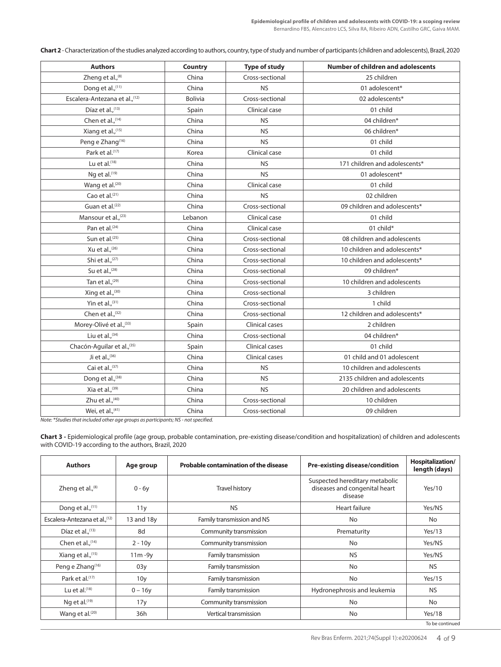**Chart 2** - Characterization of the studies analyzed according to authors, country, type of study and number of participants (children and adolescents), Brazil, 2020

| <b>Authors</b>                  | Country        | <b>Type of study</b> | <b>Number of children and adolescents</b> |
|---------------------------------|----------------|----------------------|-------------------------------------------|
| Zheng et al., <sup>(8)</sup>    | China          | Cross-sectional      | 25 children                               |
| Dong et al., (11)               | China          | <b>NS</b>            | 01 adolescent*                            |
| Escalera-Antezana et al., (12)  | <b>Bolivia</b> | Cross-sectional      | 02 adolescents*                           |
| Díaz et al., (13)               | Spain          | Clinical case        | 01 child                                  |
| Chen et al., (14)               | China          | <b>NS</b>            | 04 children*                              |
| Xiang et al., (15)              | China          | <b>NS</b>            | 06 children*                              |
| Peng e Zhang <sup>(16)</sup>    | China          | <b>NS</b>            | 01 child                                  |
| Park et al. <sup>(17)</sup>     | Korea          | Clinical case        | 01 child                                  |
| Lu et al. $(18)$                | China          | <b>NS</b>            | 171 children and adolescents*             |
| Ng et al. $(19)$                | China          | <b>NS</b>            | 01 adolescent*                            |
| Wang et al. <sup>(20)</sup>     | China          | Clinical case        | 01 child                                  |
| Cao et al. <sup>(21)</sup>      | China          | <b>NS</b>            | 02 children                               |
| Guan et al. <sup>(22)</sup>     | China          | Cross-sectional      | 09 children and adolescents*              |
| Mansour et al., <sup>(23)</sup> | Lebanon        | Clinical case        | 01 child                                  |
| Pan et al. <sup>(24)</sup>      | China          | Clinical case        | 01 child*                                 |
| Sun et al. <sup>(25)</sup>      | China          | Cross-sectional      | 08 children and adolescents               |
| Xu et al., (26)                 | China          | Cross-sectional      | 10 children and adolescents*              |
| Shi et al., (27)                | China          | Cross-sectional      | 10 children and adolescents*              |
| Su et al., (28)                 | China          | Cross-sectional      | 09 children*                              |
| Tan et al., <sup>(29)</sup>     | China          | Cross-sectional      | 10 children and adolescents               |
| Xing et al., <sup>(30)</sup>    | China          | Cross-sectional      | 3 children                                |
| Yin et al., (31)                | China          | Cross-sectional      | 1 child                                   |
| Chen et al., (32)               | China          | Cross-sectional      | 12 children and adolescents*              |
| Morey-Olivé et al., (33)        | Spain          | Clinical cases       | 2 children                                |
| Liu et al., $(34)$              | China          | Cross-sectional      | 04 children*                              |
| Chacón-Aguilar et al., (35)     | Spain          | Clinical cases       | 01 child                                  |
| Ji et al., $(36)$               | China          | Clinical cases       | 01 child and 01 adolescent                |
| Cai et al., (37)                | China          | <b>NS</b>            | 10 children and adolescents               |
| Dong et al., (38)               | China          | <b>NS</b>            | 2135 children and adolescents             |
| Xia et al., (39)                | China          | <b>NS</b>            | 20 children and adolescents               |
| Zhu et al., (40)                | China          | Cross-sectional      | 10 children                               |
| Wei, et al., (41)               | China          | Cross-sectional      | 09 children                               |

*Note: \*Studies that included other age groups as participants; NS - not specified.* 

**Chart 3 -** Epidemiological profile (age group, probable contamination, pre-existing disease/condition and hospitalization) of children and adolescents with COVID-19 according to the authors, Brazil, 2020

| <b>Authors</b>                 | Age group       | <b>Pre-existing disease/condition</b><br><b>Probable contamination of the disease</b> |                                                                            | <b>Hospitalization/</b><br>length (days) |
|--------------------------------|-----------------|---------------------------------------------------------------------------------------|----------------------------------------------------------------------------|------------------------------------------|
| Zheng et al., $^{(8)}$         | $0 - 6y$        | Travel history                                                                        | Suspected hereditary metabolic<br>diseases and congenital heart<br>disease | Yes/10                                   |
| Dong et al., $(11)$            | 11y             | <b>NS</b><br>Heart failure                                                            |                                                                            | Yes/NS                                   |
| Escalera-Antezana et al., (12) | 13 and 18y      | Family transmission and NS                                                            | <b>No</b>                                                                  | No                                       |
| Díaz et al., $(13)$            | 8d              | Community transmission                                                                | Prematurity                                                                | Yes/13                                   |
| Chen et al., $(14)$            | $2 - 10y$       | Community transmission                                                                | No                                                                         | Yes/NS                                   |
| Xiang et al., (15)             | $11m - 9y$      | Family transmission                                                                   | <b>NS</b>                                                                  | Yes/NS                                   |
| Peng e Zhang <sup>(16)</sup>   | 03y             | Family transmission                                                                   | <b>No</b>                                                                  | <b>NS</b>                                |
| Park et al. <sup>(17)</sup>    | 10 <sub>y</sub> | Family transmission                                                                   | <b>No</b>                                                                  | Yes/15                                   |
| Lu et al. $(18)$               | $0 - 16y$       | Family transmission<br>Hydronephrosis and leukemia                                    |                                                                            | <b>NS</b>                                |
| Nq et al. $(19)$               | 17y             | Community transmission<br><b>No</b>                                                   |                                                                            | No                                       |
| Wang et al. <sup>(20)</sup>    | 36h             | Vertical transmission                                                                 | No                                                                         | Yes/18                                   |
|                                |                 |                                                                                       |                                                                            | To be continued                          |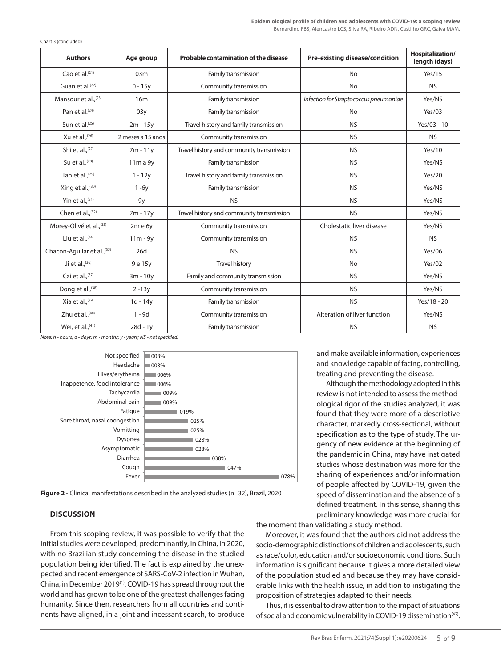| <b>Authors</b>                  | Age group         | <b>Pre-existing disease/condition</b><br><b>Probable contamination of the disease</b> |                                        | Hospitalization/<br>length (days) |
|---------------------------------|-------------------|---------------------------------------------------------------------------------------|----------------------------------------|-----------------------------------|
| Cao et al. <sup>(21)</sup>      | 03m               | Family transmission<br><b>No</b>                                                      |                                        | Yes/15                            |
| Guan et al. <sup>(22)</sup>     | $0 - 15y$         | Community transmission                                                                | <b>No</b>                              | <b>NS</b>                         |
| Mansour et al., <sup>(23)</sup> | 16m               | Family transmission                                                                   | Infection for Streptococcus pneumoniae | Yes/NS                            |
| Pan et al. <sup>(24)</sup>      | 03y               | Family transmission                                                                   | <b>No</b>                              | Yes/03                            |
| Sun et al. <sup>(25)</sup>      | $2m - 15y$        | Travel history and family transmission                                                | <b>NS</b>                              | Yes/03 - 10                       |
| Xu et al., $(26)$               | 2 meses a 15 anos | Community transmission                                                                | <b>NS</b>                              | <b>NS</b>                         |
| Shi et al., <sup>(27)</sup>     | $7m - 11y$        | Travel history and community transmission<br><b>NS</b>                                |                                        | Yes/10                            |
| Su et al., $(28)$               | 11m a 9y          | Family transmission                                                                   | <b>NS</b>                              | Yes/NS                            |
| Tan et al., $(29)$              | $1 - 12y$         | Travel history and family transmission<br><b>NS</b>                                   |                                        | Yes/20                            |
| Xing et al., <sup>(30)</sup>    | $1 - 6y$          | Family transmission<br><b>NS</b>                                                      |                                        | Yes/NS                            |
| Yin et al., $(31)$              | 9y                | <b>NS</b><br><b>NS</b>                                                                |                                        | Yes/NS                            |
| Chen et al., <sup>(32)</sup>    | 7m - 17y          | Travel history and community transmission<br><b>NS</b>                                |                                        | Yes/NS                            |
| Morey-Olivé et al., (33)        | 2m e 6y           | Cholestatic liver disease<br>Community transmission                                   |                                        | Yes/NS                            |
| Liu et al., $(34)$              | $11m - 9y$        | <b>NS</b><br>Community transmission                                                   |                                        | <b>NS</b>                         |
| Chacón-Aguilar et al., (35)     | 26d               | <b>NS</b><br><b>NS</b>                                                                |                                        | <b>Yes/06</b>                     |
| Ji et al., $(36)$               | 9 e 15 y          | <b>Travel history</b><br><b>No</b>                                                    |                                        | Yes/02                            |
| Cai et al., (37)                | $3m - 10y$        | Family and community transmission<br><b>NS</b>                                        |                                        | Yes/NS                            |
| Dong et al., (38)               | $2 - 13y$         | Community transmission<br><b>NS</b>                                                   |                                        | Yes/NS                            |
| Xia et al., (39)                | $1d - 14y$        | <b>NS</b><br>Family transmission                                                      |                                        | Yes/18 - 20                       |
| Zhu et al., (40)                | $1 - 9d$          | Alteration of liver function<br>Community transmission                                |                                        | Yes/NS                            |
| Wei, et al., (41)               | $28d - 1y$        | Family transmission                                                                   | <b>NS</b>                              | <b>NS</b>                         |

Chart 3 (concluded)

*Note: h - hours; d - days; m - months; y - years; NS - not specified.*



**Figure 2 -** Clinical manifestations described in the analyzed studies (n=32), Brazil, 2020

# **DISCUSSION**

From this scoping review, it was possible to verify that the initial studies were developed, predominantly, in China, in 2020, with no Brazilian study concerning the disease in the studied population being identified. The fact is explained by the unexpected and recent emergence of SARS-CoV-2 infection in Wuhan, China, in December 2019(1). COVID-19 has spread throughout the world and has grown to be one of the greatest challenges facing humanity. Since then, researchers from all countries and continents have aligned, in a joint and incessant search, to produce and make available information, experiences and knowledge capable of facing, controlling, treating and preventing the disease.

Although the methodology adopted in this review is not intended to assess the methodological rigor of the studies analyzed, it was found that they were more of a descriptive character, markedly cross-sectional, without specification as to the type of study. The urgency of new evidence at the beginning of the pandemic in China, may have instigated studies whose destination was more for the sharing of experiences and/or information of people affected by COVID-19, given the speed of dissemination and the absence of a defined treatment. In this sense, sharing this preliminary knowledge was more crucial for

the moment than validating a study method.

Moreover, it was found that the authors did not address the socio-demographic distinctions of children and adolescents, such as race/color, education and/or socioeconomic conditions. Such information is significant because it gives a more detailed view of the population studied and because they may have considerable links with the health issue, in addition to instigating the proposition of strategies adapted to their needs.

Thus, it is essential to draw attention to the impact of situations of social and economic vulnerability in COVID-19 dissemination<sup>(42)</sup>.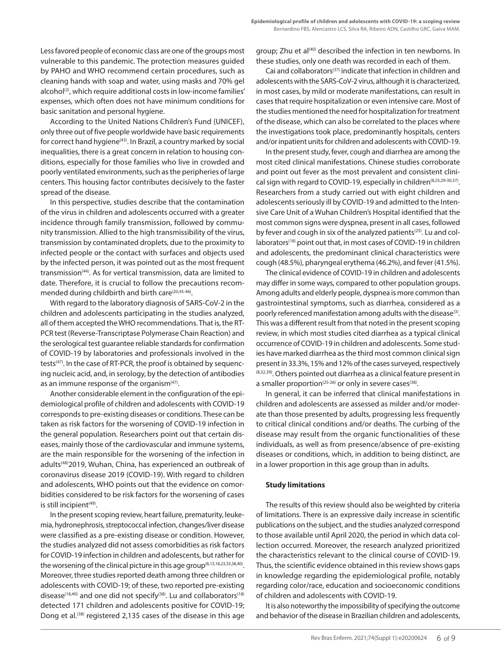Less favored people of economic class are one of the groups most vulnerable to this pandemic. The protection measures guided by PAHO and WHO recommend certain procedures, such as cleaning hands with soap and water, using masks and 70% gel alcohol<sup>(2)</sup>, which require additional costs in low-income families' expenses, which often does not have minimum conditions for basic sanitation and personal hygiene.

According to the United Nations Children's Fund (UNICEF), only three out of five people worldwide have basic requirements for correct hand hygiene<sup>(43)</sup>. In Brazil, a country marked by social inequalities, there is a great concern in relation to housing conditions, especially for those families who live in crowded and poorly ventilated environments, such as the peripheries of large centers. This housing factor contributes decisively to the faster spread of the disease.

In this perspective, studies describe that the contamination of the virus in children and adolescents occurred with a greater incidence through family transmission, followed by community transmission. Allied to the high transmissibility of the virus, transmission by contaminated droplets, due to the proximity to infected people or the contact with surfaces and objects used by the infected person, it was pointed out as the most frequent transmission(44). As for vertical transmission, data are limited to date. Therefore, it is crucial to follow the precautions recommended during childbirth and birth care<sup>(20,45-46)</sup>.

With regard to the laboratory diagnosis of SARS-CoV-2 in the children and adolescents participating in the studies analyzed, all of them accepted the WHO recommendations. That is, the RT-PCR test (Reverse-Transcriptase Polymerase Chain Reaction) and the serological test guarantee reliable standards for confirmation of COVID-19 by laboratories and professionals involved in the tests<sup>(47)</sup>. In the case of RT-PCR, the proof is obtained by sequencing nucleic acid, and, in serology, by the detection of antibodies as an immune response of the organism $(47)$ .

Another considerable element in the configuration of the epidemiological profile of children and adolescents with COVID-19 corresponds to pre-existing diseases or conditions. These can be taken as risk factors for the worsening of COVID-19 infection in the general population. Researchers point out that certain diseases, mainly those of the cardiovascular and immune systems, are the main responsible for the worsening of the infection in adults<sup>(48)</sup>2019, Wuhan, China, has experienced an outbreak of coronavirus disease 2019 (COVID-19). With regard to children and adolescents, WHO points out that the evidence on comorbidities considered to be risk factors for the worsening of cases is still incipient<sup>(49)</sup>.

In the present scoping review, heart failure, prematurity, leukemia, hydronephrosis, streptococcal infection, changes/liver disease were classified as a pre-existing disease or condition. However, the studies analyzed did not assess comorbidities as risk factors for COVID-19 infection in children and adolescents, but rather for the worsening of the clinical picture in this age group<sup>(8,13,18,23,33,38,40)</sup>. Moreover, three studies reported death among three children or adolescents with COVID-19; of these, two reported pre-existing disease<sup>(18,40)</sup> and one did not specify<sup>(38)</sup>. Lu and collaborators<sup>(18)</sup> detected 171 children and adolescents positive for COVID-19; Dong et al.<sup>(38)</sup> registered 2,135 cases of the disease in this age group; Zhu et al<sup>(40)</sup> described the infection in ten newborns. In these studies, only one death was recorded in each of them.

Cai and collaborators<sup>(37)</sup> indicate that infection in children and adolescents with the SARS-CoV-2 virus, although it is characterized, in most cases, by mild or moderate manifestations, can result in cases that require hospitalization or even intensive care. Most of the studies mentioned the need for hospitalization for treatment of the disease, which can also be correlated to the places where the investigations took place, predominantly hospitals, centers and/or inpatient units for children and adolescents with COVID-19.

In the present study, fever, cough and diarrhea are among the most cited clinical manifestations. Chinese studies corroborate and point out fever as the most prevalent and consistent clinical sign with regard to COVID-19, especially in children<sup>(8,25,29-30,37)</sup>. Researchers from a study carried out with eight children and adolescents seriously ill by COVID-19 and admitted to the Intensive Care Unit of a Wuhan Children's Hospital identified that the most common signs were dyspnea, present in all cases, followed by fever and cough in six of the analyzed patients<sup>(25)</sup>. Lu and collaborators<sup>(18)</sup> point out that, in most cases of COVID-19 in children and adolescents, the predominant clinical characteristics were cough (48.5%), pharyngeal erythema (46.2%), and fever (41.5%).

The clinical evidence of COVID-19 in children and adolescents may differ in some ways, compared to other population groups. Among adults and elderly people, dyspnea is more common than gastrointestinal symptoms, such as diarrhea, considered as a poorly referenced manifestation among adults with the disease<sup>(3)</sup>. This was a different result from that noted in the present scoping review, in which most studies cited diarrhea as a typical clinical occurrence of COVID-19 in children and adolescents. Some studies have marked diarrhea as the third most common clinical sign present in 33.3%, 15% and 12% of the cases surveyed, respectively (8,32,39). Others pointed out diarrhea as a clinical feature present in a smaller proportion<sup>(25-26)</sup> or only in severe cases<sup>(38)</sup>.

In general, it can be inferred that clinical manifestations in children and adolescents are assessed as milder and/or moderate than those presented by adults, progressing less frequently to critical clinical conditions and/or deaths. The curbing of the disease may result from the organic functionalities of these individuals, as well as from presence/absence of pre-existing diseases or conditions, which, in addition to being distinct, are in a lower proportion in this age group than in adults.

#### **Study limitations**

The results of this review should also be weighted by criteria of limitations. There is an expressive daily increase in scientific publications on the subject, and the studies analyzed correspond to those available until April 2020, the period in which data collection occurred. Moreover, the research analyzed prioritized the characteristics relevant to the clinical course of COVID-19. Thus, the scientific evidence obtained in this review shows gaps in knowledge regarding the epidemiological profile, notably regarding color/race, education and socioeconomic conditions of children and adolescents with COVID-19.

It is also noteworthy the impossibility of specifying the outcome and behavior of the disease in Brazilian children and adolescents,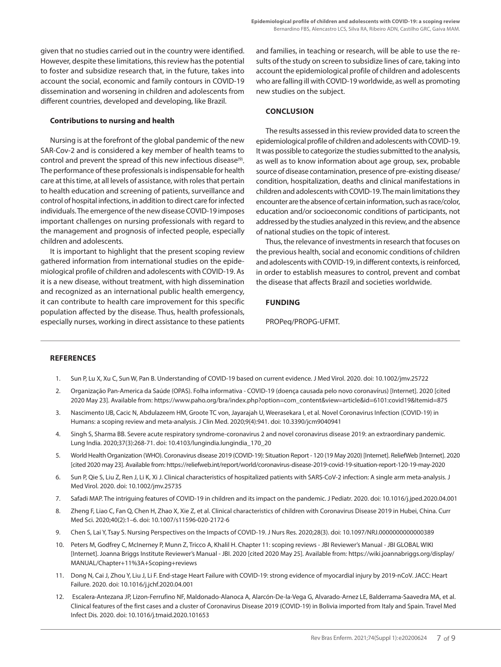given that no studies carried out in the country were identified. However, despite these limitations, this review has the potential to foster and subsidize research that, in the future, takes into account the social, economic and family contours in COVID-19 dissemination and worsening in children and adolescents from different countries, developed and developing, like Brazil.

## **Contributions to nursing and health**

Nursing is at the forefront of the global pandemic of the new SAR-Cov-2 and is considered a key member of health teams to control and prevent the spread of this new infectious disease<sup>(9)</sup>. The performance of these professionals is indispensable for health care at this time, at all levels of assistance, with roles that pertain to health education and screening of patients, surveillance and control of hospital infections, in addition to direct care for infected individuals. The emergence of the new disease COVID-19 imposes important challenges on nursing professionals with regard to the management and prognosis of infected people, especially children and adolescents.

It is important to highlight that the present scoping review gathered information from international studies on the epidemiological profile of children and adolescents with COVID-19. As it is a new disease, without treatment, with high dissemination and recognized as an international public health emergency, it can contribute to health care improvement for this specific population affected by the disease. Thus, health professionals, especially nurses, working in direct assistance to these patients and families, in teaching or research, will be able to use the results of the study on screen to subsidize lines of care, taking into account the epidemiological profile of children and adolescents who are falling ill with COVID-19 worldwide, as well as promoting new studies on the subject.

# **CONCLUSION**

The results assessed in this review provided data to screen the epidemiological profile of children and adolescents with COVID-19. It was possible to categorize the studies submitted to the analysis, as well as to know information about age group, sex, probable source of disease contamination, presence of pre-existing disease/ condition, hospitalization, deaths and clinical manifestations in children and adolescents with COVID-19. The main limitations they encounter are the absence of certain information, such as race/color, education and/or socioeconomic conditions of participants, not addressed by the studies analyzed in this review, and the absence of national studies on the topic of interest.

Thus, the relevance of investments in research that focuses on the previous health, social and economic conditions of children and adolescents with COVID-19, in different contexts, is reinforced, in order to establish measures to control, prevent and combat the disease that affects Brazil and societies worldwide.

# **FUNDING**

PROPeq/PROPG-UFMT.

#### **REFERENCES**

- 1. Sun P, Lu X, Xu C, Sun W, Pan B. Understanding of COVID‐19 based on current evidence. J Med Virol. 2020. doi: 10.1002/jmv.25722
- 2. Organização Pan-America da Saúde (OPAS). Folha informativa COVID-19 (doença causada pelo novo coronavírus) [Internet]. 2020 [cited 2020 May 23]. Available from: https://www.paho.org/bra/index.php?option=com\_content&view=article&id=6101:covid19&Itemid=875
- 3. Nascimento IJB, Cacic N, Abdulazeem HM, Groote TC von, Jayarajah U, Weerasekara I, et al. Novel Coronavirus Infection (COVID-19) in Humans: a scoping review and meta-analysis. J Clin Med. 2020;9(4):941. doi: 10.3390/jcm9040941
- 4. Singh S, Sharma BB. Severe acute respiratory syndrome-coronavirus 2 and novel coronavirus disease 2019: an extraordinary pandemic. Lung India. 2020;37(3):268-71. doi: 10.4103/lungindia.lungindia\_170\_20
- 5. World Health Organization (WHO). Coronavirus disease 2019 (COVID-19): Situation Report 120 (19 May 2020) [Internet]. ReliefWeb [Internet]. 2020 [cited 2020 may 23]. Available from: https://reliefweb.int/report/world/coronavirus-disease-2019-covid-19-situation-report-120-19-may-2020
- 6. Sun P, Qie S, Liu Z, Ren J, Li K, Xi J. Clinical characteristics of hospitalized patients with SARS‐CoV‐2 infection: A single arm meta‐analysis. J Med Virol. 2020. doi: 10.1002/jmv.25735
- 7. Safadi MAP. The intriguing features of COVID-19 in children and its impact on the pandemic. J Pediatr. 2020. doi: 10.1016/j.jped.2020.04.001
- 8. Zheng F, Liao C, Fan Q, Chen H, Zhao X, Xie Z, et al. Clinical characteristics of children with Coronavirus Disease 2019 in Hubei, China. Curr Med Sci. 2020;40(2):1–6. doi: 10.1007/s11596-020-2172-6
- 9. Chen S, Lai Y, Tsay S. Nursing Perspectives on the Impacts of COVID-19. J Nurs Res. 2020;28(3). doi: 10.1097/NRJ.0000000000000389
- 10. Peters M, Godfrey C, McInerney P, Munn Z, Tricco A, Khalil H. Chapter 11: scoping reviews JBI Reviewer's Manual JBI GLOBAL WIKI [Internet]. Joanna Briggs Institute Reviewer's Manual - JBI. 2020 [cited 2020 May 25]. Available from: https://wiki.joannabriggs.org/display/ MANUAL/Chapter+11%3A+Scoping+reviews
- 11. Dong N, Cai J, Zhou Y, Liu J, Li F. End-stage Heart Failure with COVID-19: strong evidence of myocardial injury by 2019-nCoV. JACC: Heart Failure. 2020. doi: 10.1016/j.jchf.2020.04.001
- 12. Escalera-Antezana JP, Lizon-Ferrufino NF, Maldonado-Alanoca A, Alarcón-De-la-Vega G, Alvarado-Arnez LE, Balderrama-Saavedra MA, et al. Clinical features of the first cases and a cluster of Coronavirus Disease 2019 (COVID-19) in Bolivia imported from Italy and Spain. Travel Med Infect Dis. 2020. doi: 10.1016/j.tmaid.2020.101653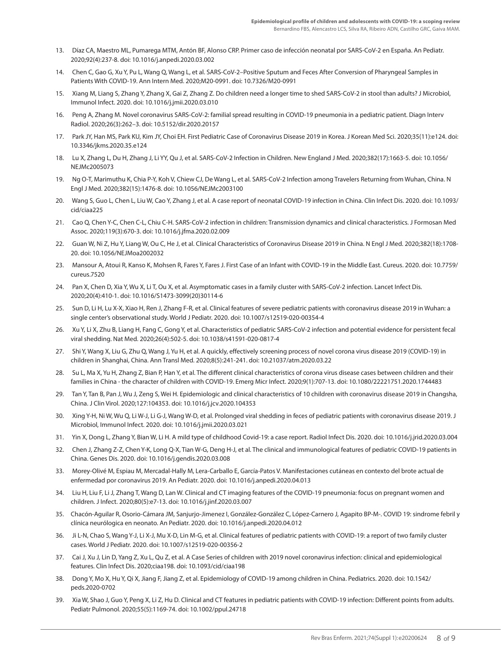- 13. Díaz CA, Maestro ML, Pumarega MTM, Antón BF, Alonso CRP. Primer caso de infección neonatal por SARS-CoV-2 en España. An Pediatr. 2020;92(4):237-8. doi: 10.1016/j.anpedi.2020.03.002
- 14. Chen C, Gao G, Xu Y, Pu L, Wang Q, Wang L, et al. SARS-CoV-2–Positive Sputum and Feces After Conversion of Pharyngeal Samples in Patients With COVID-19. Ann Intern Med. 2020;M20-0991. doi: 10.7326/M20-0991
- 15. Xiang M, Liang S, Zhang Y, Zhang X, Gai Z, Zhang Z. Do children need a longer time to shed SARS-CoV-2 in stool than adults? J Microbiol, Immunol Infect. 2020. doi: 10.1016/j.jmii.2020.03.010
- 16. Peng A, Zhang M. Novel coronavirus SARS-CoV-2: familial spread resulting in COVID-19 pneumonia in a pediatric patient. Diagn Interv Radiol. 2020;26(3):262–3. doi: 10.5152/dir.2020.20157
- 17. Park JY, Han MS, Park KU, Kim JY, Choi EH. First Pediatric Case of Coronavirus Disease 2019 in Korea. J Korean Med Sci. 2020;35(11):e124. doi: 10.3346/jkms.2020.35.e124
- 18. Lu X, Zhang L, Du H, Zhang J, Li YY, Qu J, et al. SARS-CoV-2 Infection in Children. New England J Med. 2020;382(17):1663-5. doi: 10.1056/ NEJMc2005073
- 19. Ng O-T, Marimuthu K, Chia P-Y, Koh V, Chiew CJ, De Wang L, et al. SARS-CoV-2 Infection among Travelers Returning from Wuhan, China. N Engl J Med. 2020;382(15):1476-8. doi: 10.1056/NEJMc2003100
- 20. Wang S, Guo L, Chen L, Liu W, Cao Y, Zhang J, et al. A case report of neonatal COVID-19 infection in China. Clin Infect Dis. 2020. doi: 10.1093/ cid/ciaa225
- 21. Cao Q, Chen Y-C, Chen C-L, Chiu C-H. SARS-CoV-2 infection in children: Transmission dynamics and clinical characteristics. J Formosan Med Assoc. 2020;119(3):670-3. doi: 10.1016/j.jfma.2020.02.009
- 22. Guan W, Ni Z, Hu Y, Liang W, Ou C, He J, et al. Clinical Characteristics of Coronavirus Disease 2019 in China. N Engl J Med. 2020;382(18):1708- 20. doi: 10.1056/NEJMoa2002032
- 23. Mansour A, Atoui R, Kanso K, Mohsen R, Fares Y, Fares J. First Case of an Infant with COVID-19 in the Middle East. Cureus. 2020. doi: 10.7759/ cureus.7520
- 24. Pan X, Chen D, Xia Y, Wu X, Li T, Ou X, et al. Asymptomatic cases in a family cluster with SARS-CoV-2 infection. Lancet Infect Dis. 2020;20(4):410-1. doi: 10.1016/S1473-3099(20)30114-6
- 25. Sun D, Li H, Lu X-X, Xiao H, Ren J, Zhang F-R, et al. Clinical features of severe pediatric patients with coronavirus disease 2019 in Wuhan: a single center's observational study. World J Pediatr. 2020. doi: 10.1007/s12519-020-00354-4
- 26. Xu Y, Li X, Zhu B, Liang H, Fang C, Gong Y, et al. Characteristics of pediatric SARS-CoV-2 infection and potential evidence for persistent fecal viral shedding. Nat Med. 2020;26(4):502-5. doi: 10.1038/s41591-020-0817-4
- 27. Shi Y, Wang X, Liu G, Zhu Q, Wang J, Yu H, et al. A quickly, effectively screening process of novel corona virus disease 2019 (COVID-19) in children in Shanghai, China. Ann Transl Med. 2020;8(5):241-241. doi: 10.21037/atm.2020.03.22
- 28. Su L, Ma X, Yu H, Zhang Z, Bian P, Han Y, et al. The different clinical characteristics of corona virus disease cases between children and their families in China - the character of children with COVID-19. Emerg Micr Infect. 2020;9(1):707-13. doi: 10.1080/22221751.2020.1744483
- 29. Tan Y, Tan B, Pan J, Wu J, Zeng S, Wei H. Epidemiologic and clinical characteristics of 10 children with coronavirus disease 2019 in Changsha, China. J Clin Virol. 2020;127:104353. doi: 10.1016/j.jcv.2020.104353
- 30. Xing Y-H, Ni W, Wu Q, Li W-J, Li G-J, Wang W-D, et al. Prolonged viral shedding in feces of pediatric patients with coronavirus disease 2019. J Microbiol, Immunol Infect. 2020. doi: 10.1016/j.jmii.2020.03.021
- 31. Yin X, Dong L, Zhang Y, Bian W, Li H. A mild type of childhood Covid-19: a case report. Radiol Infect Dis. 2020. doi: 10.1016/j.jrid.2020.03.004
- 32. Chen J, Zhang Z-Z, Chen Y-K, Long Q-X, Tian W-G, Deng H-J, et al. The clinical and immunological features of pediatric COVID-19 patients in China. Genes Dis. 2020. doi: 10.1016/j.gendis.2020.03.008
- 33. Morey-Olivé M, Espiau M, Mercadal-Hally M, Lera-Carballo E, García-Patos V. Manifestaciones cutáneas en contexto del brote actual de enfermedad por coronavirus 2019. An Pediatr. 2020. doi: 10.1016/j.anpedi.2020.04.013
- 34. Liu H, Liu F, Li J, Zhang T, Wang D, Lan W. Clinical and CT imaging features of the COVID-19 pneumonia: focus on pregnant women and children. J Infect. 2020;80(5):e7-13. doi: 10.1016/j.jinf.2020.03.007
- 35. Chacón-Aguilar R, Osorio-Cámara JM, Sanjurjo-Jimenez I, González-González C, López-Carnero J, Agapito BP-M-. COVID 19: sindrome febril y clínica neurólogica en neonato. An Pediatr. 2020. doi: 10.1016/j.anpedi.2020.04.012
- 36. Ji L-N, Chao S, Wang Y-J, Li X-J, Mu X-D, Lin M-G, et al. Clinical features of pediatric patients with COVID-19: a report of two family cluster cases. World J Pediatr. 2020. doi: 10.1007/s12519-020-00356-2
- 37. Cai J, Xu J, Lin D, Yang Z, Xu L, Qu Z, et al. A Case Series of children with 2019 novel coronavirus infection: clinical and epidemiological features. Clin Infect Dis. 2020;ciaa198. doi: 10.1093/cid/ciaa198
- 38. Dong Y, Mo X, Hu Y, Qi X, Jiang F, Jiang Z, et al. Epidemiology of COVID-19 among children in China. Pediatrics. 2020. doi: 10.1542/ peds.2020-0702
- 39. Xia W, Shao J, Guo Y, Peng X, Li Z, Hu D. Clinical and CT features in pediatric patients with COVID‐19 infection: Different points from adults. Pediatr Pulmonol. 2020;55(5):1169-74. doi: 10.1002/ppul.24718